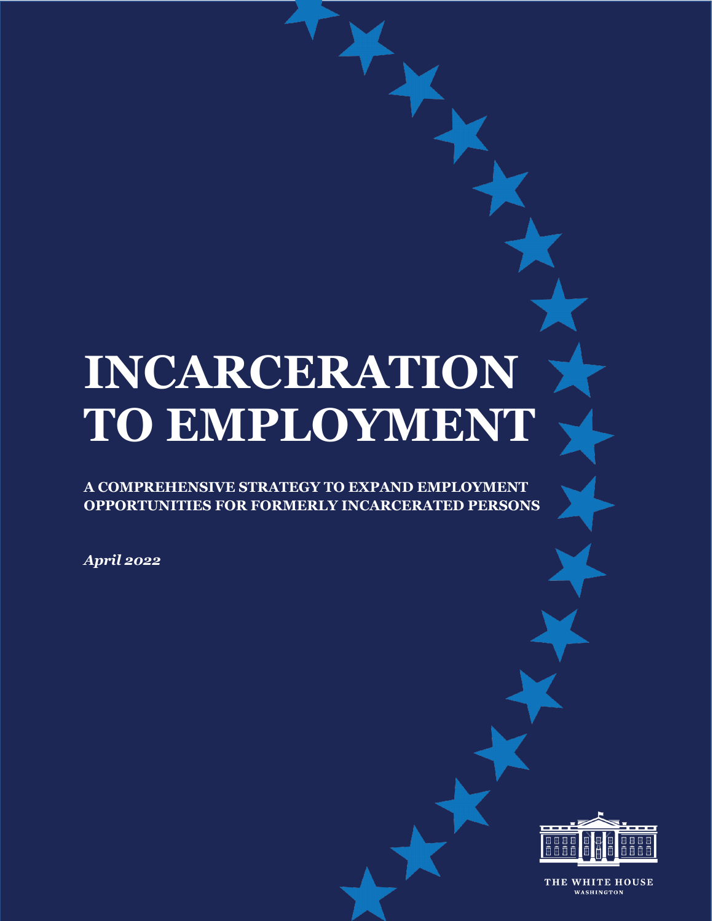# **INCARCERATION TO EMPLOYMENT**

**A COMPREHENSIVE STRATEGY TO EXPAND EMPLOYMENT OPPORTUNITIES FOR FORMERLY INCARCERATED PERSONS**

*April 2022*



THE WHITE HOUSE WASHINGTON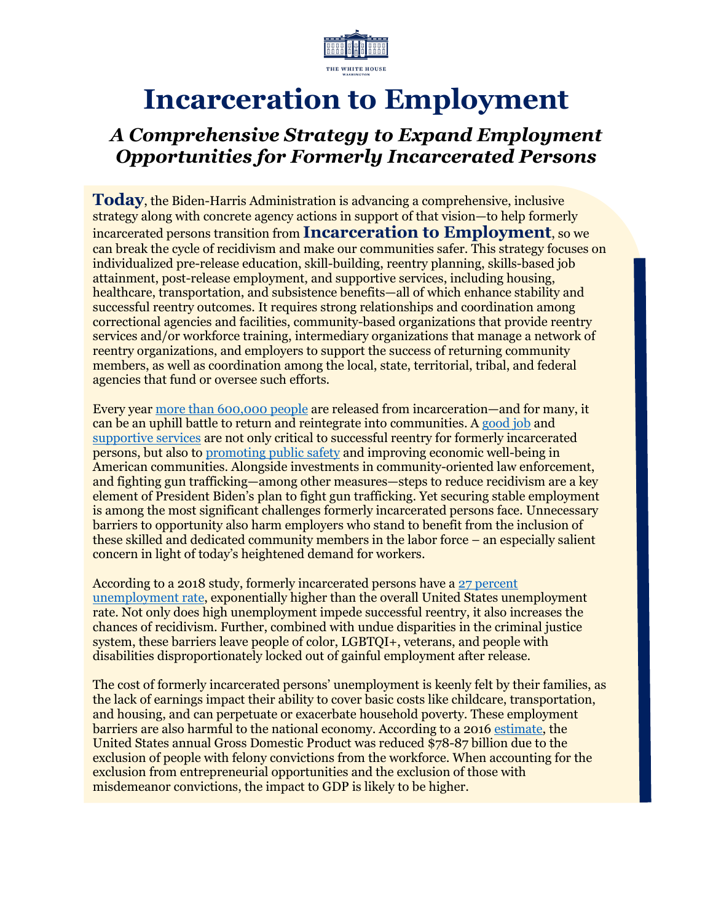

# **Incarceration to Employment**

## *A Comprehensive Strategy to Expand Employment Opportunities for Formerly Incarcerated Persons*

**Today**, the Biden-Harris Administration is advancing a comprehensive, inclusive strategy along with concrete agency actions in support of that vision—to help formerly incarcerated persons transition from **Incarceration to Employment**, so we can break the cycle of recidivism and make our communities safer. This strategy focuses on individualized pre-release education, skill-building, reentry planning, skills-based job attainment, post-release employment, and supportive services, including housing, healthcare, transportation, and subsistence benefits—all of which enhance stability and successful reentry outcomes. It requires strong relationships and coordination among correctional agencies and facilities, community-based organizations that provide reentry services and/or workforce training, intermediary organizations that manage a network of reentry organizations, and employers to support the success of returning community members, as well as coordination among the local, state, territorial, tribal, and federal agencies that fund or oversee such efforts.

Every yea[r more than 600,000 people](https://aspe.hhs.gov/topics/human-services/incarceration-reentry-0) are released from incarceration—and for many, it can be an uphill battle to return and reintegrate into communities. A [good job](https://www.hamiltonproject.org/assets/files/increasing_employment_individuals_criminal_records.PDF) and [supportive services](https://www.brookings.edu/research/a-better-path-forward-for-criminal-justice-prisoner-reentry/) are not only critical to successful reentry for formerly incarcerated persons, but also to promoting [public safety](https://www.sciencedirect.com/science/article/abs/pii/S0047272716302067?via%3Dihub) and improving economic well-being in American communities. Alongside investments in community-oriented law enforcement, and fighting gun trafficking—among other measures—steps to reduce recidivism are a key element of President Biden's plan to fight gun trafficking. Yet securing stable employment is among the most significant challenges formerly incarcerated persons face. Unnecessary barriers to opportunity also harm employers who stand to benefit from the inclusion of these skilled and dedicated community members in the labor force – an especially salient concern in light of today's heightened demand for workers.

According to a 2018 study, formerly incarcerated persons have [a 27 percent](https://www.prisonpolicy.org/reports/outofwork.html)  [unemployment rate,](https://www.prisonpolicy.org/reports/outofwork.html) exponentially higher than the overall United States unemployment rate. Not only does high unemployment impede successful reentry, it also increases the chances of recidivism. Further, combined with undue disparities in the criminal justice system, these barriers leave people of color, LGBTQI+, veterans, and people with disabilities disproportionately locked out of gainful employment after release.

The cost of formerly incarcerated persons' unemployment is keenly felt by their families, as the lack of earnings impact their ability to cover basic costs like childcare, transportation, and housing, and can perpetuate or exacerbate household poverty. These employment barriers are also harmful to the national economy. According to a 201[6 estimate,](https://cepr.net/images/stories/reports/employment-prisoners-felonies-2016-06.pdf) the United States annual Gross Domestic Product was reduced \$78-87 billion due to the exclusion of people with felony convictions from the workforce. When accounting for the exclusion from entrepreneurial opportunities and the exclusion of those with misdemeanor convictions, the impact to GDP is likely to be higher.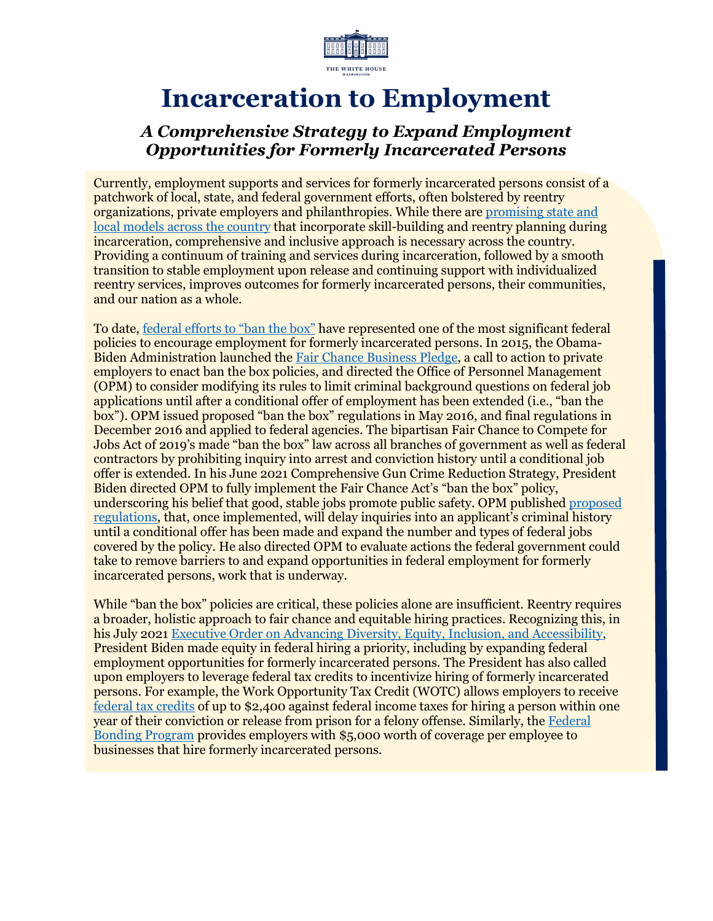

# **Incarceration to Employment**

#### *A Comprehensive Strategy to Expand Employment Opportunities for Formerly Incarcerated Persons*

Currently, employment supports and services for formerly incarcerated persons consist of a patchwork of local, state, and federal government efforts, often bolstered by reentry organizations, private employers and philanthropies. While there are [promising state and](https://www.dol.gov/sites/dolgov/files/OASP/legacy/files/LEAP-Final-Report.pdf)  [local models across the country](https://www.dol.gov/sites/dolgov/files/OASP/legacy/files/LEAP-Final-Report.pdf) that incorporate skill-building and reentry planning during incarceration, comprehensive and inclusive approach is necessary across the country. Providing a continuum of training and services during incarceration, followed by a smooth transition to stable employment upon release and continuing support with individualized reentry services, improves outcomes for formerly incarcerated persons, their communities, and our nation as a whole.

To date, [federal efforts to "ban the box"](https://www.congress.gov/116/plaws/publ92/PLAW-116publ92.pdf) have represented one of the most significant federal policies to encourage employment for formerly incarcerated persons. In 2015, the Obama-Biden Administration launched the [Fair Chance Business Pledge,](https://obamawhitehouse.archives.gov/the-press-office/2015/11/02/fact-sheet-president-obama-announces-new-actions-promote-rehabilitation) a call to action to private employers to enact ban the box policies, and directed the Office of Personnel Management (OPM) to consider modifying its rules to limit criminal background questions on federal job applications until after a conditional offer of employment has been extended (i.e., "ban the box"). OPM issued proposed "ban the box" regulations in May 2016, and final regulations in December 2016 and applied to federal agencies. The bipartisan Fair Chance to Compete for Jobs Act of 2019's made "ban the box" law across all branches of government as well as federal contractors by prohibiting inquiry into arrest and conviction history until a conditional job offer is extended. In his June 2021 Comprehensive Gun Crime Reduction Strategy, President Biden directed OPM to fully implement the Fair Chance Act's "ban the box" policy, underscoring his belief that good, stable jobs promote public safety. OPM published [proposed](https://www.federalregister.gov/public-inspection/current)  [regulations,](https://www.federalregister.gov/public-inspection/current) that, once implemented, will delay inquiries into an applicant's criminal history until a conditional offer has been made and expand the number and types of federal jobs covered by the policy. He also directed OPM to evaluate actions the federal government could take to remove barriers to and expand opportunities in federal employment for formerly incarcerated persons, work that is underway.

While "ban the box" policies are critical, these policies alone are insufficient. Reentry requires a broader, holistic approach to fair chance and equitable hiring practices. Recognizing this, in his July 2021 [Executive Order on Advancing Diversity, Equity, Inclusion, and Accessibility,](https://www.whitehouse.gov/briefing-room/presidential-actions/2021/06/25/executive-order-on-diversity-equity-inclusion-and-accessibility-in-the-federal-workforce/) President Biden made equity in federal hiring a priority, including by expanding federal employment opportunities for formerly incarcerated persons. The President has also called upon employers to leverage federal tax credits to incentivize hiring of formerly incarcerated persons. For example, the Work Opportunity Tax Credit (WOTC) allows employers to receive [federal tax credits](https://www.irs.gov/businesses/small-businesses-self-employed/work-opportunity-tax-credit) of up to \$2,400 against federal income taxes for hiring a person within one year of their conviction or release from prison for a felony offense. Similarly, the [Federal](https://bonds4jobs.com/) [Bonding Program](https://bonds4jobs.com/) provides employers with \$5,000 worth of coverage per employee to businesses that hire formerly incarcerated persons.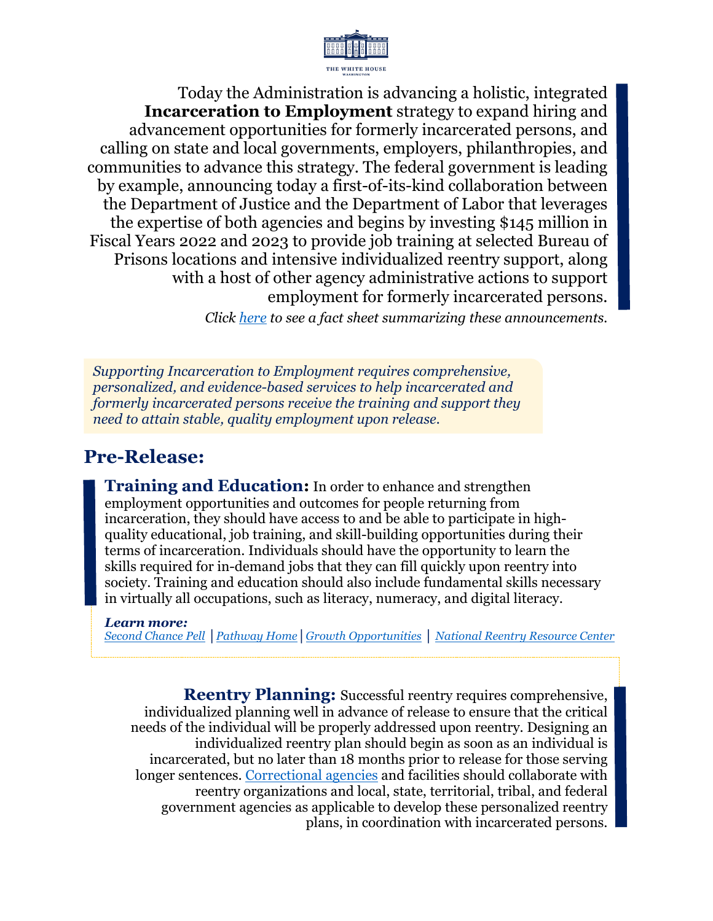

Today the Administration is advancing a holistic, integrated **Incarceration to Employment** strategy to expand hiring and advancement opportunities for formerly incarcerated persons, and calling on state and local governments, employers, philanthropies, and communities to advance this strategy. The federal government is leading by example, announcing today a first-of-its-kind collaboration between the Department of Justice and the Department of Labor that leverages the expertise of both agencies and begins by investing \$145 million in Fiscal Years 2022 and 2023 to provide job training at selected Bureau of Prisons locations and intensive individualized reentry support, along with a host of other agency administrative actions to support employment for formerly incarcerated persons.

*Click [here](https://www.whitehouse.gov/briefing-room/statements-releases/2022/04/26/fact-sheet-biden-harris-administration-expands-second-chance-opportunities-for-formerly-incarcerated-persons/) to see a fact sheet summarizing these announcements.*

*Supporting Incarceration to Employment requires comprehensive, personalized, and evidence-based services to help incarcerated and formerly incarcerated persons receive the training and support they need to attain stable, quality employment upon release.*

## **Pre-Release:**

**Training and Education:** In order to enhance and strengthen employment opportunities and outcomes for people returning from incarceration, they should have access to and be able to participate in highquality educational, job training, and skill-building opportunities during their terms of incarceration. Individuals should have the opportunity to learn the skills required for in-demand jobs that they can fill quickly upon reentry into society. Training and education should also include fundamental skills necessary in virtually all occupations, such as literacy, numeracy, and digital literacy.

#### *Learn more:*

*[Second Chance Pell](https://www.ed.gov/news/press-releases/us-department-education-announces-expansion-second-chance-pell-program-and-actions-help-incarcerated-individuals-resume-educational-journeys-and-reduce-recidivism) │[Pathway Home](https://www.dol.gov/sites/dolgov/files/ETA/grants/pdfs/FOA-ETA-22-04%20.pdf)│[Growth Opportunities](https://www.dol.gov/sites/dolgov/files/ETA/grants/pdfs/FOA-ETA-22-03_.pdf) │ [National Reentry Resource Center](https://niccc.nationalreentryresourcecenter.org/)*

**Reentry Planning:** Successful reentry requires comprehensive, individualized planning well in advance of release to ensure that the critical needs of the individual will be properly addressed upon reentry. Designing an individualized reentry plan should begin as soon as an individual is incarcerated, but no later than 18 months prior to release for those serving longer sentences. [Correctional agencies](https://www.ojp.gov/ncjrs/virtual-library/abstracts/changing-systems-changing-behavior-five-ways-corrections-agencies) and facilities should collaborate with reentry organizations and local, state, territorial, tribal, and federal government agencies as applicable to develop these personalized reentry plans, in coordination with incarcerated persons.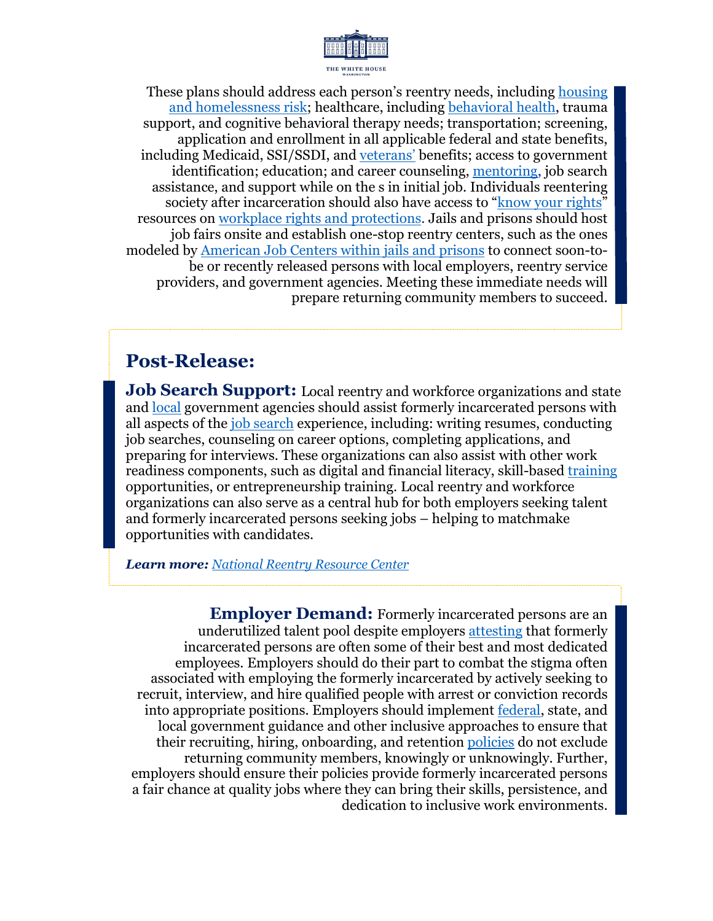

These plans should address each person's reentry needs, including [housing](https://www.hud.gov/reentry)  [and homelessness risk;](https://www.hud.gov/reentry) healthcare, including [behavioral health,](https://nationalreentryresourcecenter.org/resources/critical-connections) trauma support, and cognitive behavioral therapy needs; transportation; screening, application and enrollment in all applicable federal and state benefits, including Medicaid, SSI/SSDI, and [veterans'](https://benefits.va.gov/PERSONA/veteran-incarcerated.asp) benefits; access to government identification; education; and career counseling, [mentoring,](https://bja.ojp.gov/library/publications/mentoring-component-reentry-practical-considerations-field) job search assistance, and support while on the s in initial job. Individuals reentering society after incarceration should also have access to ["know your rights"](https://www.usich.gov/resources/uploads/asset_library/REENTRY_MYTHBUSTERS.pdf) resources on [workplace rights and protections.](https://www.eeoc.gov/pre-employment-inquiries-and-arrest-conviction) Jails and prisons should host job fairs onsite and establish one-stop reentry centers, such as the ones modeled by [American Job Centers within jails and prisons](https://www.dol.gov/sites/dolgov/files/OASP/evaluation/pdf/Providing-Services-in-a-Jail-Based-American-Job-Center%20(1).pdf) to connect soon-tobe or recently released persons with local employers, reentry service providers, and government agencies. Meeting these immediate needs will prepare returning community members to succeed.

### **Post-Release:**

**Job Search Support:** Local reentry and workforce organizations and state and [local](https://nationalreentryresourcecenter.org/resources/toolkits/reentry) government agencies should assist formerly incarcerated persons with all aspects of the [job search](https://nationalreentryresourcecenter.org/events/best-and-promising-practices-integrating-reentry-and-employment-interventions) experience, including: writing resumes, conducting job searches, counseling on career options, completing applications, and preparing for interviews. These organizations can also assist with other work readiness components, such as digital and financial literacy, skill-based [training](https://nationalreentryresourcecenter.org/resources/evidenced-based-workforce-training-series) opportunities, or entrepreneurship training. Local reentry and workforce organizations can also serve as a central hub for both employers seeking talent and formerly incarcerated persons seeking jobs – helping to matchmake opportunities with candidates.

*Learn more: [National Reentry Resource Center](https://nationalreentryresourcecenter.org/resources/removing-structural-barriers-employment-playbook-every-state)*

**Employer Demand:** Formerly incarcerated persons are an underutilized talent pool despite employers [attesting](https://www.prisonpolicy.org/reports/outofwork.html) that formerly incarcerated persons are often some of their best and most dedicated employees. Employers should do their part to combat the stigma often associated with employing the formerly incarcerated by actively seeking to recruit, interview, and hire qualified people with arrest or conviction records into appropriate positions. Employers should implement [federal,](https://www.eeoc.gov/laws/guidance/arrest-and-conviction-records-employment-brochure) state, and local government guidance and other inclusive approaches to ensure that their recruiting, hiring, onboarding, and retention [policies](https://www.ojp.gov/pdffiles1/nij/302188.pdf) do not exclude returning community members, knowingly or unknowingly. Further, employers should ensure their policies provide formerly incarcerated persons a fair chance at quality jobs where they can bring their skills, persistence, and dedication to inclusive work environments.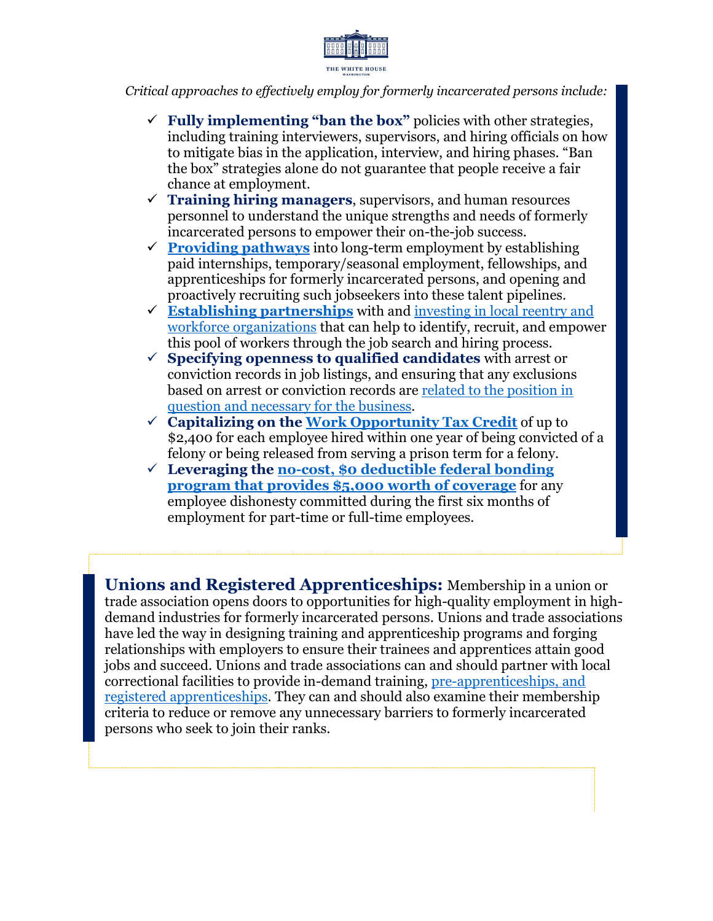

*Critical approaches to effectively employ for formerly incarcerated persons include:* 

- $\checkmark$  **Fully implementing "ban the box"** policies with other strategies, including training interviewers, supervisors, and hiring officials on how to mitigate bias in the application, interview, and hiring phases. "Ban the box" strategies alone do not guarantee that people receive a fair chance at employment.
- $\checkmark$  **Training hiring managers**, supervisors, and human resources personnel to understand the unique strengths and needs of formerly incarcerated persons to empower their on-the-job success.
- $\checkmark$  **[Providing pathways](https://www.dol.gov/agencies/eta/reentry/about)** into long-term employment by establishing paid internships, temporary/seasonal employment, fellowships, and apprenticeships for formerly incarcerated persons, and opening and proactively recruiting such jobseekers into these talent pipelines.
- **[Establishing partnerships](https://www.dol.gov/agencies/eta/reentry)** with and [investing in local reentry and](https://reo.workforcegps.org/)  [workforce organizations](https://reo.workforcegps.org/) that can help to identify, recruit, and empower this pool of workers through the job search and hiring process.
- **Specifying openness to qualified candidates** with arrest or conviction records in job listings, and ensuring that any exclusions based on arrest or conviction records are [related to the position in](https://www.eeoc.gov/laws/guidance/questions-and-answers-about-eeocs-enforcement-guidance-consideration-arrest-and)  [question and necessary for the business.](https://www.eeoc.gov/laws/guidance/questions-and-answers-about-eeocs-enforcement-guidance-consideration-arrest-and)
- **Capitalizing on the [Work Opportunity Tax Credit](https://www.irs.gov/businesses/small-businesses-self-employed/work-opportunity-tax-credit)** of up to \$2,400 for each employee hired within one year of being convicted of a felony or being released from serving a prison term for a felony.
- **Leveraging the [no-cost, \\$0 deductible federal bonding](https://bonds4jobs.com/our-services/employers)  [program that provides \\$5,000 worth of coverage](https://bonds4jobs.com/our-services/employers)** for any employee dishonesty committed during the first six months of employment for part-time or full-time employees.

**Unions and Registered Apprenticeships:** Membership in a union or trade association opens doors to opportunities for high-quality employment in highdemand industries for formerly incarcerated persons. Unions and trade associations have led the way in designing training and apprenticeship programs and forging relationships with employers to ensure their trainees and apprentices attain good jobs and succeed. Unions and trade associations can and should partner with local correctional facilities to provide in-demand training, pre-apprenticeships, and [registered apprenticeships.](https://www.apprenticeship.gov/) They can and should also examine their membership criteria to reduce or remove any unnecessary barriers to formerly incarcerated persons who seek to join their ranks.